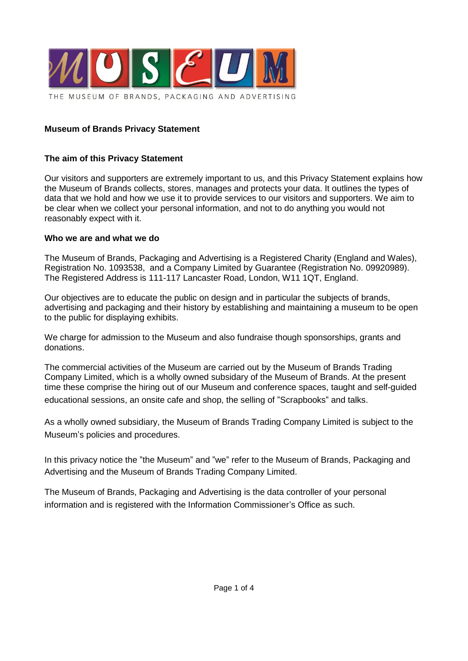

#### **Museum of Brands Privacy Statement**

#### **The aim of this Privacy Statement**

Our visitors and supporters are extremely important to us, and this Privacy Statement explains how the Museum of Brands collects, stores, manages and protects your data. It outlines the types of data that we hold and how we use it to provide services to our visitors and supporters. We aim to be clear when we collect your personal information, and not to do anything you would not reasonably expect with it.

#### **Who we are and what we do**

The Museum of Brands, Packaging and Advertising is a Registered Charity (England and Wales), Registration No. 1093538, and a Company Limited by Guarantee (Registration No. 09920989). The Registered Address is 111-117 Lancaster Road, London, W11 1QT, England.

Our objectives are to educate the public on design and in particular the subjects of brands, advertising and packaging and their history by establishing and maintaining a museum to be open to the public for displaying exhibits.

We charge for admission to the Museum and also fundraise though sponsorships, grants and donations.

The commercial activities of the Museum are carried out by the Museum of Brands Trading Company Limited, which is a wholly owned subsidary of the Museum of Brands. At the present time these comprise the hiring out of our Museum and conference spaces, taught and self-guided educational sessions, an onsite cafe and shop, the selling of "Scrapbooks" and talks.

As a wholly owned subsidiary, the Museum of Brands Trading Company Limited is subject to the Museum's policies and procedures.

In this privacy notice the "the Museum" and "we" refer to the Museum of Brands, Packaging and Advertising and the Museum of Brands Trading Company Limited.

The Museum of Brands, Packaging and Advertising is the data controller of your personal information and is registered with the Information Commissioner's Office as such.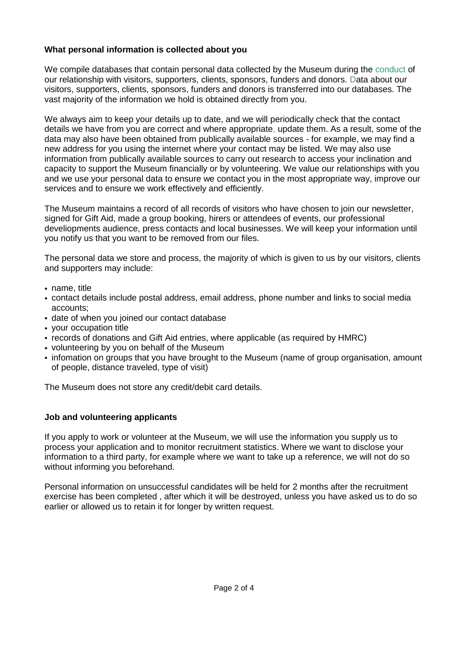# **What personal information is collected about you**

We compile databases that contain personal data collected by the Museum during the conduct of our relationship with visitors, supporters, clients, sponsors, funders and donors. Data about our visitors, supporters, clients, sponsors, funders and donors is transferred into our databases. The vast majority of the information we hold is obtained directly from you.

We always aim to keep your details up to date, and we will periodically check that the contact details we have from you are correct and where appropriate, update them. As a result, some of the data may also have been obtained from publically available sources - for example, we may find a new address for you using the internet where your contact may be listed. We may also use information from publically available sources to carry out research to access your inclination and capacity to support the Museum financially or by volunteering. We value our relationships with you and we use your personal data to ensure we contact you in the most appropriate way, improve our services and to ensure we work effectively and efficiently.

The Museum maintains a record of all records of visitors who have chosen to join our newsletter, signed for Gift Aid, made a group booking, hirers or attendees of events, our professional develiopments audience, press contacts and local businesses. We will keep your information until you notify us that you want to be removed from our files.

The personal data we store and process, the majority of which is given to us by our visitors, clients and supporters may include:

- name, title
- contact details include postal address, email address, phone number and links to social media accounts;
- date of when you joined our contact database
- your occupation title
- records of donations and Gift Aid entries, where applicable (as required by HMRC)
- volunteering by you on behalf of the Museum
- infomation on groups that you have brought to the Museum (name of group organisation, amount of people, distance traveled, type of visit)

The Museum does not store any credit/debit card details.

# **Job and volunteering applicants**

If you apply to work or volunteer at the Museum, we will use the information you supply us to process your application and to monitor recruitment statistics. Where we want to disclose your information to a third party, for example where we want to take up a reference, we will not do so without informing you beforehand.

Personal information on unsuccessful candidates will be held for 2 months after the recruitment exercise has been completed , after which it will be destroyed, unless you have asked us to do so earlier or allowed us to retain it for longer by written request.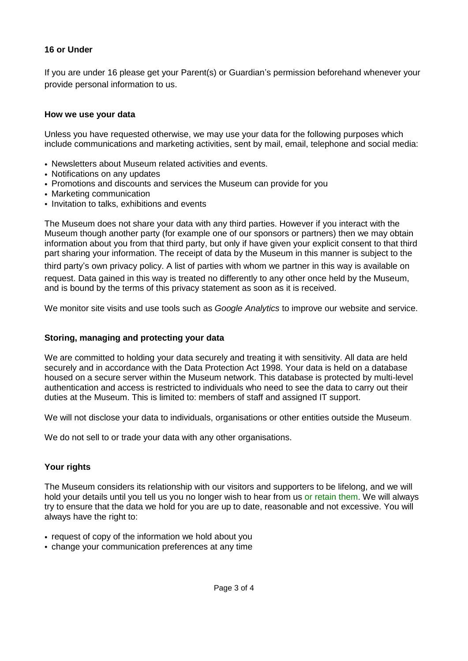# **16 or Under**

If you are under 16 please get your Parent(s) or Guardian's permission beforehand whenever your provide personal information to us.

### **How we use your data**

Unless you have requested otherwise, we may use your data for the following purposes which include communications and marketing activities, sent by mail, email, telephone and social media:

- Newsletters about Museum related activities and events.
- Notifications on any updates
- Promotions and discounts and services the Museum can provide for you
- Marketing communication
- Invitation to talks, exhibitions and events

The Museum does not share your data with any third parties. However if you interact with the Museum though another party (for example one of our sponsors or partners) then we may obtain information about you from that third party, but only if have given your explicit consent to that third part sharing your information. The receipt of data by the Museum in this manner is subject to the third party's own privacy policy. A list of parties with whom we partner in this way is available on request. Data gained in this way is treated no differently to any other once held by the Museum, and is bound by the terms of this privacy statement as soon as it is received.

We monitor site visits and use tools such as *Google Analytics* to improve our website and service.

# **Storing, managing and protecting your data**

We are committed to holding your data securely and treating it with sensitivity. All data are held securely and in accordance with the Data Protection Act 1998. Your data is held on a database housed on a secure server within the Museum network. This database is protected by multi-level authentication and access is restricted to individuals who need to see the data to carry out their duties at the Museum. This is limited to: members of staff and assigned IT support.

We will not disclose your data to individuals, organisations or other entities outside the Museum.

We do not sell to or trade your data with any other organisations.

# **Your rights**

The Museum considers its relationship with our visitors and supporters to be lifelong, and we will hold your details until you tell us you no longer wish to hear from us or retain them. We will always try to ensure that the data we hold for you are up to date, reasonable and not excessive. You will always have the right to:

- request of copy of the information we hold about you
- change your communication preferences at any time